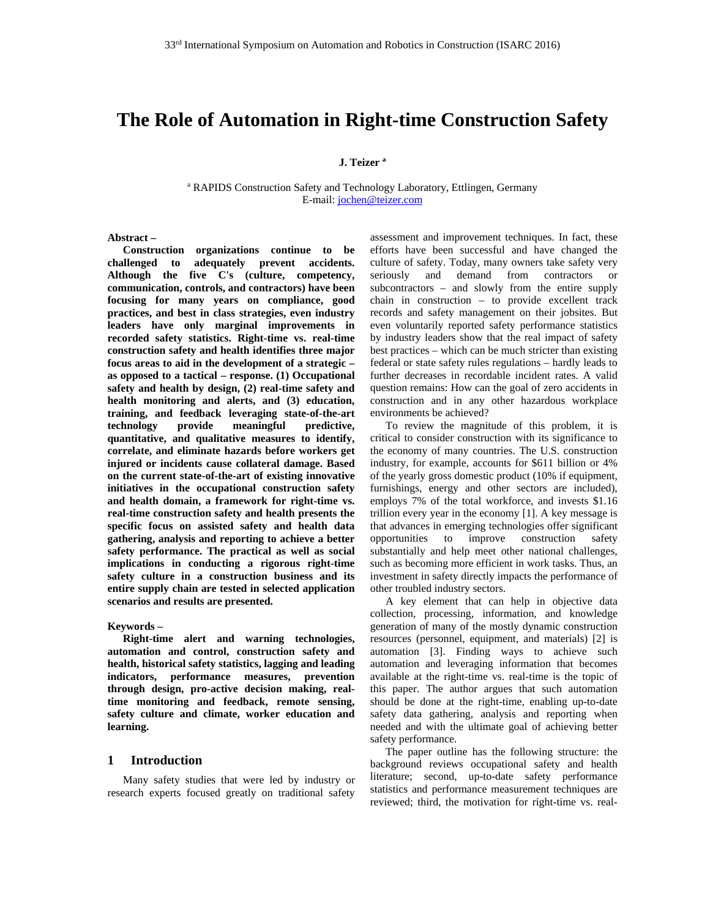# **The Role of Automation in Right-time Construction Safety**

**J. Teizer a**

<sup>a</sup> RAPIDS Construction Safety and Technology Laboratory, Ettlingen, Germany E-mail: jochen@teizer.com

#### **Abstract –**

**Construction organizations continue to be challenged to adequately prevent accidents. Although the five C's (culture, competency, communication, controls, and contractors) have been focusing for many years on compliance, good practices, and best in class strategies, even industry leaders have only marginal improvements in recorded safety statistics. Right-time vs. real-time construction safety and health identifies three major focus areas to aid in the development of a strategic – as opposed to a tactical – response. (1) Occupational safety and health by design, (2) real-time safety and health monitoring and alerts, and (3) education, training, and feedback leveraging state-of-the-art technology provide meaningful predictive, quantitative, and qualitative measures to identify, correlate, and eliminate hazards before workers get injured or incidents cause collateral damage. Based on the current state-of-the-art of existing innovative initiatives in the occupational construction safety and health domain, a framework for right-time vs. real-time construction safety and health presents the specific focus on assisted safety and health data gathering, analysis and reporting to achieve a better safety performance. The practical as well as social implications in conducting a rigorous right-time safety culture in a construction business and its entire supply chain are tested in selected application scenarios and results are presented.** 

#### **Keywords –**

**Right-time alert and warning technologies, automation and control, construction safety and health, historical safety statistics, lagging and leading indicators, performance measures, prevention through design, pro-active decision making, realtime monitoring and feedback, remote sensing, safety culture and climate, worker education and learning.** 

#### **1 Introduction**

Many safety studies that were led by industry or research experts focused greatly on traditional safety

assessment and improvement techniques. In fact, these efforts have been successful and have changed the culture of safety. Today, many owners take safety very seriously and demand from contractors or subcontractors – and slowly from the entire supply chain in construction – to provide excellent track records and safety management on their jobsites. But even voluntarily reported safety performance statistics by industry leaders show that the real impact of safety best practices – which can be much stricter than existing federal or state safety rules regulations – hardly leads to further decreases in recordable incident rates. A valid question remains: How can the goal of zero accidents in construction and in any other hazardous workplace environments be achieved?

To review the magnitude of this problem, it is critical to consider construction with its significance to the economy of many countries. The U.S. construction industry, for example, accounts for \$611 billion or 4% of the yearly gross domestic product (10% if equipment, furnishings, energy and other sectors are included), employs 7% of the total workforce, and invests \$1.16 trillion every year in the economy [1]. A key message is that advances in emerging technologies offer significant opportunities to improve construction safety substantially and help meet other national challenges, such as becoming more efficient in work tasks. Thus, an investment in safety directly impacts the performance of other troubled industry sectors.

A key element that can help in objective data collection, processing, information, and knowledge generation of many of the mostly dynamic construction resources (personnel, equipment, and materials) [2] is automation [3]. Finding ways to achieve such automation and leveraging information that becomes available at the right-time vs. real-time is the topic of this paper. The author argues that such automation should be done at the right-time, enabling up-to-date safety data gathering, analysis and reporting when needed and with the ultimate goal of achieving better safety performance.

The paper outline has the following structure: the background reviews occupational safety and health literature; second, up-to-date safety performance statistics and performance measurement techniques are reviewed; third, the motivation for right-time vs. real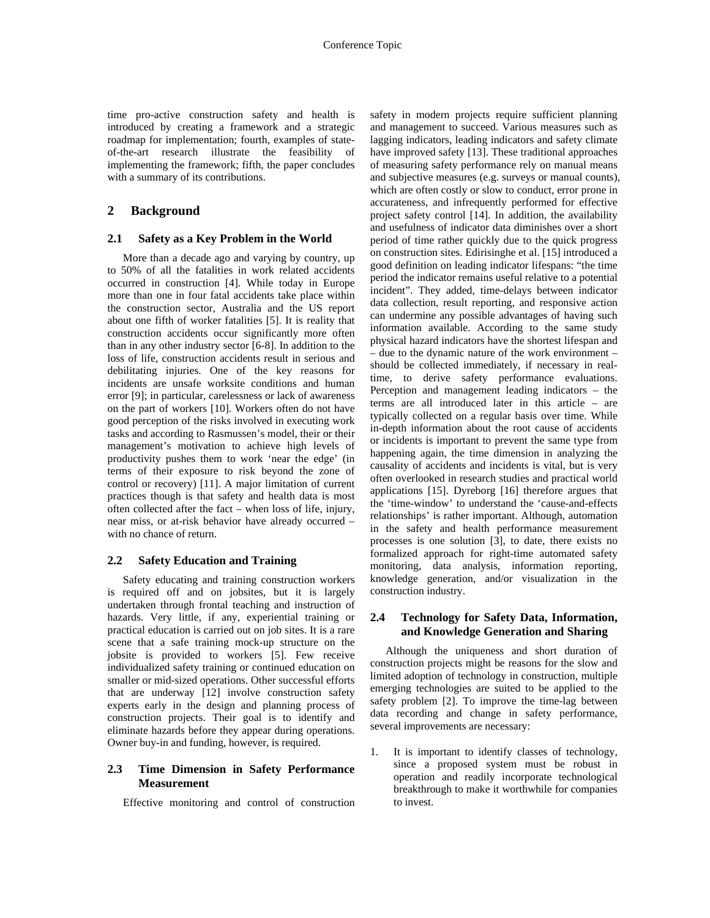time pro-active construction safety and health is introduced by creating a framework and a strategic roadmap for implementation; fourth, examples of stateof-the-art research illustrate the feasibility of implementing the framework; fifth, the paper concludes with a summary of its contributions.

## **2 Background**

#### **2.1 Safety as a Key Problem in the World**

More than a decade ago and varying by country, up to 50% of all the fatalities in work related accidents occurred in construction [4]. While today in Europe more than one in four fatal accidents take place within the construction sector, Australia and the US report about one fifth of worker fatalities [5]. It is reality that construction accidents occur significantly more often than in any other industry sector [6-8]. In addition to the loss of life, construction accidents result in serious and debilitating injuries. One of the key reasons for incidents are unsafe worksite conditions and human error [9]; in particular, carelessness or lack of awareness on the part of workers [10]. Workers often do not have good perception of the risks involved in executing work tasks and according to Rasmussen's model, their or their management's motivation to achieve high levels of productivity pushes them to work 'near the edge' (in terms of their exposure to risk beyond the zone of control or recovery) [11]. A major limitation of current practices though is that safety and health data is most often collected after the fact – when loss of life, injury, near miss, or at-risk behavior have already occurred – with no chance of return.

### **2.2 Safety Education and Training**

Safety educating and training construction workers is required off and on jobsites, but it is largely undertaken through frontal teaching and instruction of hazards. Very little, if any, experiential training or practical education is carried out on job sites. It is a rare scene that a safe training mock-up structure on the jobsite is provided to workers [5]. Few receive individualized safety training or continued education on smaller or mid-sized operations. Other successful efforts that are underway [12] involve construction safety experts early in the design and planning process of construction projects. Their goal is to identify and eliminate hazards before they appear during operations. Owner buy-in and funding, however, is required.

#### **2.3 Time Dimension in Safety Performance Measurement**

Effective monitoring and control of construction

safety in modern projects require sufficient planning and management to succeed. Various measures such as lagging indicators, leading indicators and safety climate have improved safety [13]. These traditional approaches of measuring safety performance rely on manual means and subjective measures (e.g. surveys or manual counts), which are often costly or slow to conduct, error prone in accurateness, and infrequently performed for effective project safety control [14]. In addition, the availability and usefulness of indicator data diminishes over a short period of time rather quickly due to the quick progress on construction sites. Edirisinghe et al. [15] introduced a good definition on leading indicator lifespans: "the time period the indicator remains useful relative to a potential incident". They added, time-delays between indicator data collection, result reporting, and responsive action can undermine any possible advantages of having such information available. According to the same study physical hazard indicators have the shortest lifespan and – due to the dynamic nature of the work environment – should be collected immediately, if necessary in realtime, to derive safety performance evaluations. Perception and management leading indicators – the terms are all introduced later in this article – are typically collected on a regular basis over time. While in-depth information about the root cause of accidents or incidents is important to prevent the same type from happening again, the time dimension in analyzing the causality of accidents and incidents is vital, but is very often overlooked in research studies and practical world applications [15]. Dyreborg [16] therefore argues that the 'time-window' to understand the 'cause-and-effects relationships' is rather important. Although, automation in the safety and health performance measurement processes is one solution [3], to date, there exists no formalized approach for right-time automated safety monitoring, data analysis, information reporting, knowledge generation, and/or visualization in the construction industry.

## **2.4 Technology for Safety Data, Information, and Knowledge Generation and Sharing**

Although the uniqueness and short duration of construction projects might be reasons for the slow and limited adoption of technology in construction, multiple emerging technologies are suited to be applied to the safety problem [2]. To improve the time-lag between data recording and change in safety performance, several improvements are necessary:

1. It is important to identify classes of technology, since a proposed system must be robust in operation and readily incorporate technological breakthrough to make it worthwhile for companies to invest.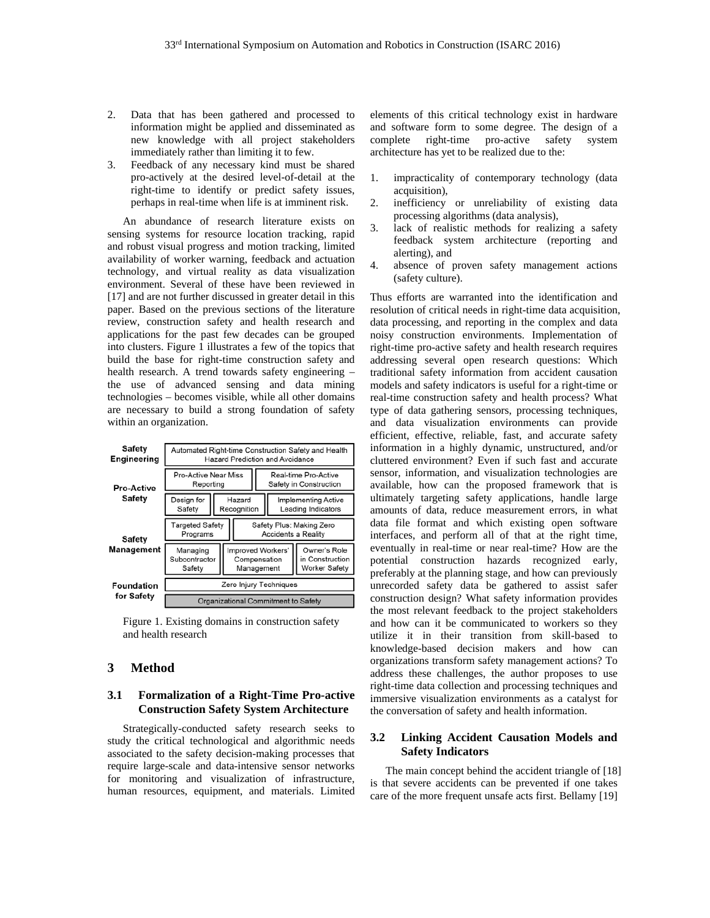- 2. Data that has been gathered and processed to information might be applied and disseminated as new knowledge with all project stakeholders immediately rather than limiting it to few.
- 3. Feedback of any necessary kind must be shared pro-actively at the desired level-of-detail at the right-time to identify or predict safety issues, perhaps in real-time when life is at imminent risk.

An abundance of research literature exists on sensing systems for resource location tracking, rapid and robust visual progress and motion tracking, limited availability of worker warning, feedback and actuation technology, and virtual reality as data visualization environment. Several of these have been reviewed in [17] and are not further discussed in greater detail in this paper. Based on the previous sections of the literature review, construction safety and health research and applications for the past few decades can be grouped into clusters. Figure 1 illustrates a few of the topics that build the base for right-time construction safety and health research. A trend towards safety engineering – the use of advanced sensing and data mining technologies – becomes visible, while all other domains are necessary to build a strong foundation of safety within an organization.

| <b>Safety</b><br><b>Engineering</b> | Automated Right-time Construction Safety and Health<br><b>Hazard Prediction and Avoidance</b> |  |                                                 |                                                        |  |                                                  |                                                  |
|-------------------------------------|-----------------------------------------------------------------------------------------------|--|-------------------------------------------------|--------------------------------------------------------|--|--------------------------------------------------|--------------------------------------------------|
| <b>Pro-Active</b><br>Safety         | Pro-Active Near Miss<br>Reporting                                                             |  |                                                 | Real-time Pro-Active<br>Safety in Construction         |  |                                                  |                                                  |
|                                     | Design for<br>Safety                                                                          |  | Hazard<br>Recognition                           |                                                        |  | <b>Implementing Active</b><br>Leading Indicators |                                                  |
| <b>Safety</b><br><b>Management</b>  | <b>Targeted Safety</b><br>Programs                                                            |  |                                                 | Safety Plus: Making Zero<br><b>Accidents a Reality</b> |  |                                                  |                                                  |
|                                     | Managing<br>Subcontractor<br>Safety                                                           |  | Improved Workers'<br>Compensation<br>Management |                                                        |  |                                                  | Owner's Role<br>in Construction<br>Worker Safety |
| Foundation<br>for Safety            | Zero Injury Techniques                                                                        |  |                                                 |                                                        |  |                                                  |                                                  |
|                                     | Organizational Commitment to Safety                                                           |  |                                                 |                                                        |  |                                                  |                                                  |

Figure 1. Existing domains in construction safety and health research

## **3 Method**

### **3.1 Formalization of a Right-Time Pro-active Construction Safety System Architecture**

Strategically-conducted safety research seeks to study the critical technological and algorithmic needs associated to the safety decision-making processes that require large-scale and data-intensive sensor networks for monitoring and visualization of infrastructure, human resources, equipment, and materials. Limited

elements of this critical technology exist in hardware and software form to some degree. The design of a complete right-time pro-active safety system architecture has yet to be realized due to the:

- 1. impracticality of contemporary technology (data acquisition),
- 2. inefficiency or unreliability of existing data processing algorithms (data analysis),
- 3. lack of realistic methods for realizing a safety feedback system architecture (reporting and alerting), and
- 4. absence of proven safety management actions (safety culture).

Thus efforts are warranted into the identification and resolution of critical needs in right-time data acquisition, data processing, and reporting in the complex and data noisy construction environments. Implementation of right-time pro-active safety and health research requires addressing several open research questions: Which traditional safety information from accident causation models and safety indicators is useful for a right-time or real-time construction safety and health process? What type of data gathering sensors, processing techniques, and data visualization environments can provide efficient, effective, reliable, fast, and accurate safety information in a highly dynamic, unstructured, and/or cluttered environment? Even if such fast and accurate sensor, information, and visualization technologies are available, how can the proposed framework that is ultimately targeting safety applications, handle large amounts of data, reduce measurement errors, in what data file format and which existing open software interfaces, and perform all of that at the right time, eventually in real-time or near real-time? How are the potential construction hazards recognized early, preferably at the planning stage, and how can previously unrecorded safety data be gathered to assist safer construction design? What safety information provides the most relevant feedback to the project stakeholders and how can it be communicated to workers so they utilize it in their transition from skill-based to knowledge-based decision makers and how can organizations transform safety management actions? To address these challenges, the author proposes to use right-time data collection and processing techniques and immersive visualization environments as a catalyst for the conversation of safety and health information.

### **3.2 Linking Accident Causation Models and Safety Indicators**

The main concept behind the accident triangle of [18] is that severe accidents can be prevented if one takes care of the more frequent unsafe acts first. Bellamy [19]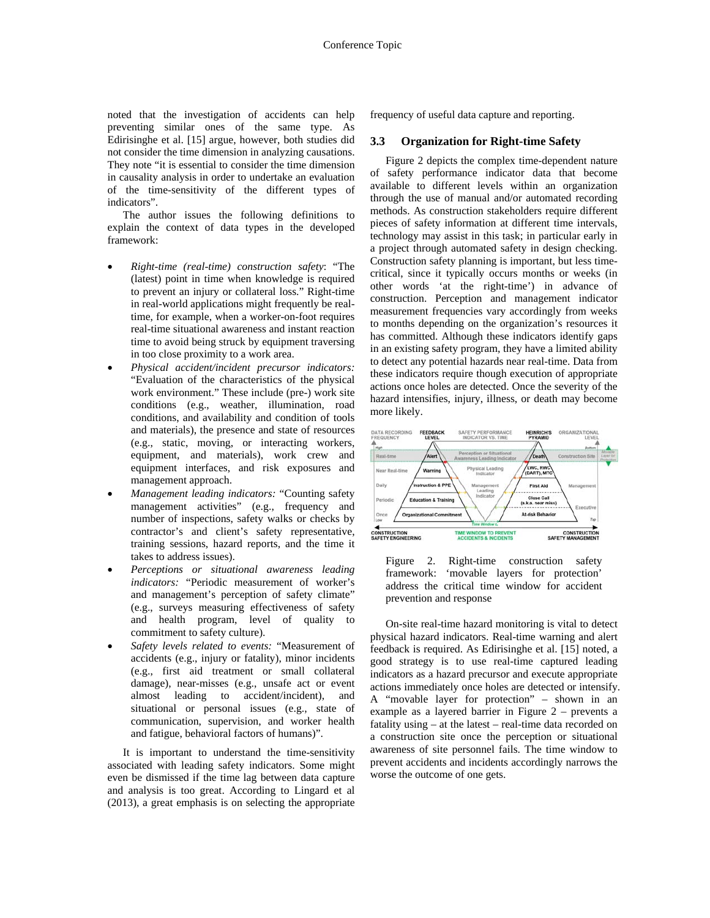noted that the investigation of accidents can help preventing similar ones of the same type. As Edirisinghe et al. [15] argue, however, both studies did not consider the time dimension in analyzing causations. They note "it is essential to consider the time dimension in causality analysis in order to undertake an evaluation of the time-sensitivity of the different types of indicators".

The author issues the following definitions to explain the context of data types in the developed framework:

- *Right-time (real-time) construction safety*: "The (latest) point in time when knowledge is required to prevent an injury or collateral loss." Right-time in real-world applications might frequently be realtime, for example, when a worker-on-foot requires real-time situational awareness and instant reaction time to avoid being struck by equipment traversing in too close proximity to a work area.
- *Physical accident/incident precursor indicators:* "Evaluation of the characteristics of the physical work environment." These include (pre-) work site conditions (e.g., weather, illumination, road conditions, and availability and condition of tools and materials), the presence and state of resources (e.g., static, moving, or interacting workers, equipment, and materials), work crew and equipment interfaces, and risk exposures and management approach.
- *Management leading indicators:* "Counting safety management activities" (e.g., frequency and number of inspections, safety walks or checks by contractor's and client's safety representative, training sessions, hazard reports, and the time it takes to address issues).
- *Perceptions or situational awareness leading indicators:* "Periodic measurement of worker's and management's perception of safety climate" (e.g., surveys measuring effectiveness of safety and health program, level of quality to commitment to safety culture).
- *Safety levels related to events:* "Measurement of accidents (e.g., injury or fatality), minor incidents (e.g., first aid treatment or small collateral damage), near-misses (e.g., unsafe act or event almost leading to accident/incident), and situational or personal issues (e.g., state of communication, supervision, and worker health and fatigue, behavioral factors of humans)".

It is important to understand the time-sensitivity associated with leading safety indicators. Some might even be dismissed if the time lag between data capture and analysis is too great. According to Lingard et al (2013), a great emphasis is on selecting the appropriate frequency of useful data capture and reporting.

#### **3.3 Organization for Right-time Safety**

Figure 2 depicts the complex time-dependent nature of safety performance indicator data that become available to different levels within an organization through the use of manual and/or automated recording methods. As construction stakeholders require different pieces of safety information at different time intervals, technology may assist in this task; in particular early in a project through automated safety in design checking. Construction safety planning is important, but less timecritical, since it typically occurs months or weeks (in other words 'at the right-time') in advance of construction. Perception and management indicator measurement frequencies vary accordingly from weeks to months depending on the organization's resources it has committed. Although these indicators identify gaps in an existing safety program, they have a limited ability to detect any potential hazards near real-time. Data from these indicators require though execution of appropriate actions once holes are detected. Once the severity of the hazard intensifies, injury, illness, or death may become more likely.



Figure 2. Right-time construction safety framework: 'movable layers for protection' address the critical time window for accident prevention and response

On-site real-time hazard monitoring is vital to detect physical hazard indicators. Real-time warning and alert feedback is required. As Edirisinghe et al. [15] noted, a good strategy is to use real-time captured leading indicators as a hazard precursor and execute appropriate actions immediately once holes are detected or intensify. A "movable layer for protection" – shown in an example as a layered barrier in Figure 2 – prevents a fatality using – at the latest – real-time data recorded on a construction site once the perception or situational awareness of site personnel fails. The time window to prevent accidents and incidents accordingly narrows the worse the outcome of one gets.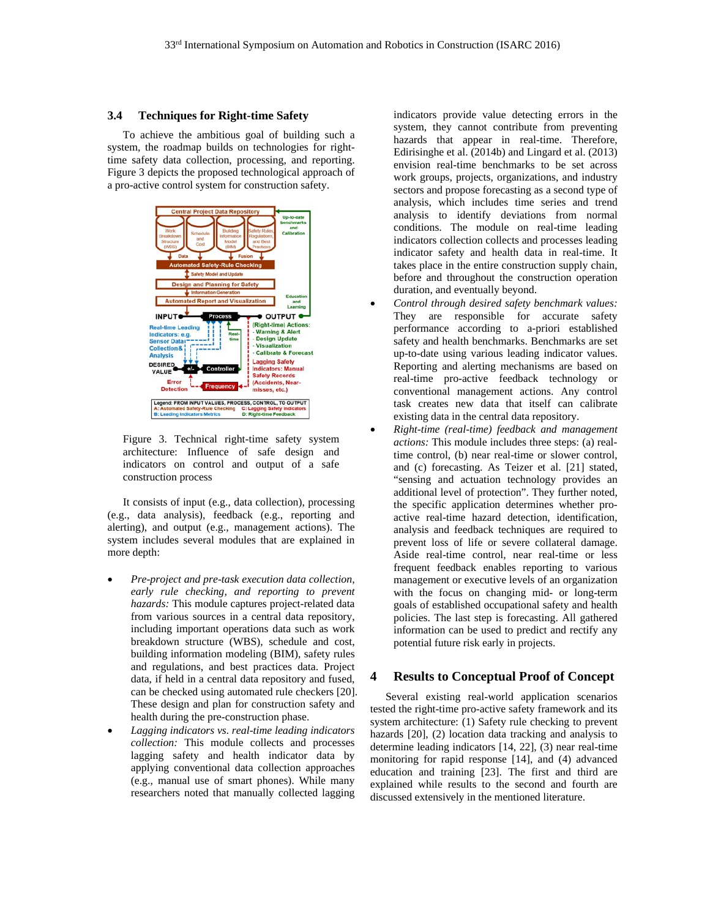#### **3.4 Techniques for Right-time Safety**

To achieve the ambitious goal of building such a system, the roadmap builds on technologies for righttime safety data collection, processing, and reporting. Figure 3 depicts the proposed technological approach of a pro-active control system for construction safety.



Figure 3. Technical right-time safety system architecture: Influence of safe design and indicators on control and output of a safe construction process

It consists of input (e.g., data collection), processing (e.g., data analysis), feedback (e.g., reporting and alerting), and output (e.g., management actions). The system includes several modules that are explained in more depth:

- *Pre-project and pre-task execution data collection, early rule checking, and reporting to prevent hazards:* This module captures project-related data from various sources in a central data repository, including important operations data such as work breakdown structure (WBS), schedule and cost, building information modeling (BIM), safety rules and regulations, and best practices data. Project data, if held in a central data repository and fused, can be checked using automated rule checkers [20]. These design and plan for construction safety and health during the pre-construction phase.
- *Lagging indicators vs. real-time leading indicators collection:* This module collects and processes lagging safety and health indicator data by applying conventional data collection approaches (e.g., manual use of smart phones). While many researchers noted that manually collected lagging

indicators provide value detecting errors in the system, they cannot contribute from preventing hazards that appear in real-time. Therefore, Edirisinghe et al. (2014b) and Lingard et al. (2013) envision real-time benchmarks to be set across work groups, projects, organizations, and industry sectors and propose forecasting as a second type of analysis, which includes time series and trend analysis to identify deviations from normal conditions. The module on real-time leading indicators collection collects and processes leading indicator safety and health data in real-time. It takes place in the entire construction supply chain, before and throughout the construction operation duration, and eventually beyond.

- *Control through desired safety benchmark values:* They are responsible for accurate safety performance according to a-priori established safety and health benchmarks. Benchmarks are set up-to-date using various leading indicator values. Reporting and alerting mechanisms are based on real-time pro-active feedback technology or conventional management actions. Any control task creates new data that itself can calibrate existing data in the central data repository.
- *Right-time (real-time) feedback and management actions:* This module includes three steps: (a) realtime control, (b) near real-time or slower control, and (c) forecasting. As Teizer et al. [21] stated, "sensing and actuation technology provides an additional level of protection". They further noted, the specific application determines whether proactive real-time hazard detection, identification, analysis and feedback techniques are required to prevent loss of life or severe collateral damage. Aside real-time control, near real-time or less frequent feedback enables reporting to various management or executive levels of an organization with the focus on changing mid- or long-term goals of established occupational safety and health policies. The last step is forecasting. All gathered information can be used to predict and rectify any potential future risk early in projects.

## **4 Results to Conceptual Proof of Concept**

Several existing real-world application scenarios tested the right-time pro-active safety framework and its system architecture: (1) Safety rule checking to prevent hazards [20], (2) location data tracking and analysis to determine leading indicators [14, 22], (3) near real-time monitoring for rapid response [14], and (4) advanced education and training [23]. The first and third are explained while results to the second and fourth are discussed extensively in the mentioned literature.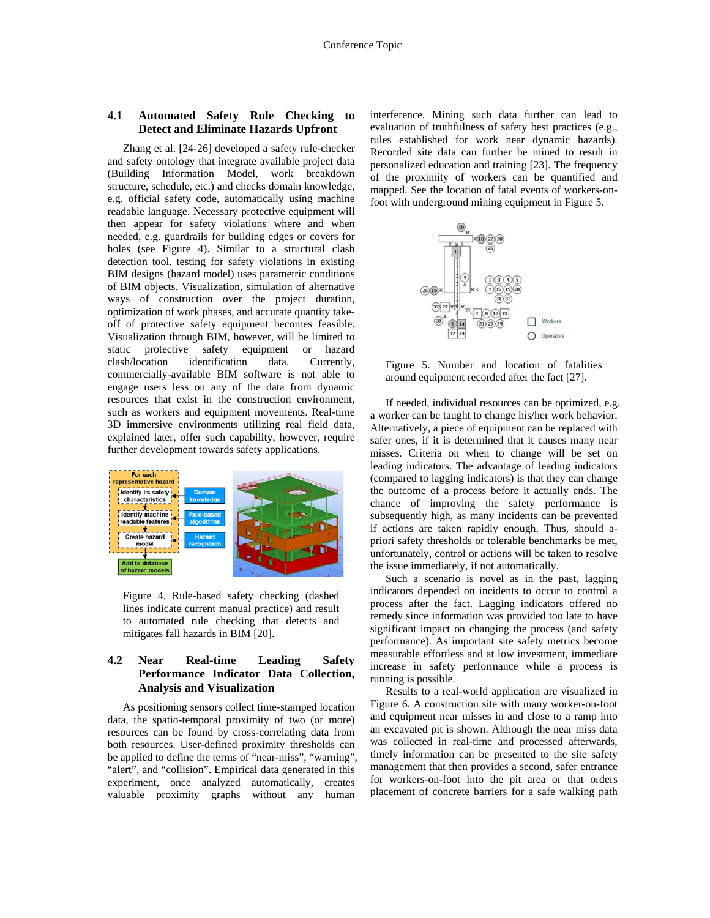#### **4.1 Automated Safety Rule Checking to Detect and Eliminate Hazards Upfront**

Zhang et al. [24-26] developed a safety rule-checker and safety ontology that integrate available project data (Building Information Model, work breakdown structure, schedule, etc.) and checks domain knowledge, e.g. official safety code, automatically using machine readable language. Necessary protective equipment will then appear for safety violations where and when needed, e.g. guardrails for building edges or covers for holes (see Figure 4). Similar to a structural clash detection tool, testing for safety violations in existing BIM designs (hazard model) uses parametric conditions of BIM objects. Visualization, simulation of alternative ways of construction over the project duration, optimization of work phases, and accurate quantity takeoff of protective safety equipment becomes feasible. Visualization through BIM, however, will be limited to static protective safety equipment or hazard clash/location identification data. Currently, commercially-available BIM software is not able to engage users less on any of the data from dynamic resources that exist in the construction environment, such as workers and equipment movements. Real-time 3D immersive environments utilizing real field data, explained later, offer such capability, however, require further development towards safety applications.



Figure 4. Rule-based safety checking (dashed lines indicate current manual practice) and result to automated rule checking that detects and mitigates fall hazards in BIM [20].

## **4.2 Near Real-time Leading Safety Performance Indicator Data Collection, Analysis and Visualization**

As positioning sensors collect time-stamped location data, the spatio-temporal proximity of two (or more) resources can be found by cross-correlating data from both resources. User-defined proximity thresholds can be applied to define the terms of "near-miss", "warning", "alert", and "collision". Empirical data generated in this experiment, once analyzed automatically, creates valuable proximity graphs without any human

interference. Mining such data further can lead to evaluation of truthfulness of safety best practices (e.g., rules established for work near dynamic hazards). Recorded site data can further be mined to result in personalized education and training [23]. The frequency of the proximity of workers can be quantified and mapped. See the location of fatal events of workers-onfoot with underground mining equipment in Figure 5.



Figure 5. Number and location of fatalities around equipment recorded after the fact [27].

If needed, individual resources can be optimized, e.g. a worker can be taught to change his/her work behavior. Alternatively, a piece of equipment can be replaced with safer ones, if it is determined that it causes many near misses. Criteria on when to change will be set on leading indicators. The advantage of leading indicators (compared to lagging indicators) is that they can change the outcome of a process before it actually ends. The chance of improving the safety performance is subsequently high, as many incidents can be prevented if actions are taken rapidly enough. Thus, should apriori safety thresholds or tolerable benchmarks be met, unfortunately, control or actions will be taken to resolve the issue immediately, if not automatically.

Such a scenario is novel as in the past, lagging indicators depended on incidents to occur to control a process after the fact. Lagging indicators offered no remedy since information was provided too late to have significant impact on changing the process (and safety performance). As important site safety metrics become measurable effortless and at low investment, immediate increase in safety performance while a process is running is possible.

Results to a real-world application are visualized in Figure 6. A construction site with many worker-on-foot and equipment near misses in and close to a ramp into an excavated pit is shown. Although the near miss data was collected in real-time and processed afterwards, timely information can be presented to the site safety management that then provides a second, safer entrance for workers-on-foot into the pit area or that orders placement of concrete barriers for a safe walking path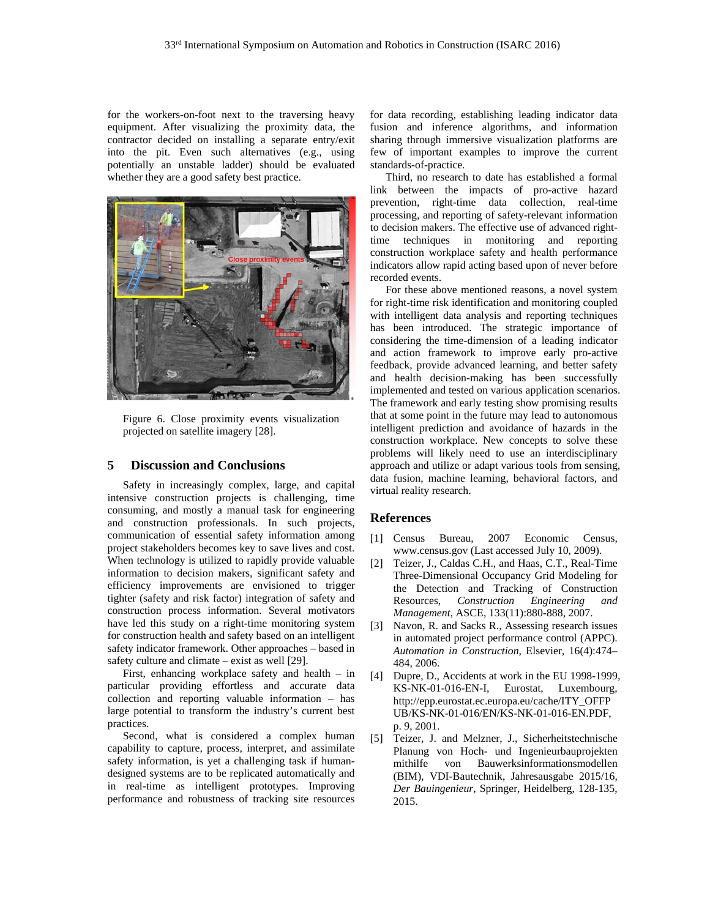for the workers-on-foot next to the traversing heavy equipment. After visualizing the proximity data, the contractor decided on installing a separate entry/exit into the pit. Even such alternatives (e.g., using potentially an unstable ladder) should be evaluated whether they are a good safety best practice.



Figure 6. Close proximity events visualization projected on satellite imagery [28].

# **5 Discussion and Conclusions**

Safety in increasingly complex, large, and capital intensive construction projects is challenging, time consuming, and mostly a manual task for engineering and construction professionals. In such projects, communication of essential safety information among project stakeholders becomes key to save lives and cost. When technology is utilized to rapidly provide valuable information to decision makers, significant safety and efficiency improvements are envisioned to trigger tighter (safety and risk factor) integration of safety and construction process information. Several motivators have led this study on a right-time monitoring system for construction health and safety based on an intelligent safety indicator framework. Other approaches – based in safety culture and climate – exist as well [29].

First, enhancing workplace safety and health – in particular providing effortless and accurate data collection and reporting valuable information – has large potential to transform the industry's current best practices.

Second, what is considered a complex human capability to capture, process, interpret, and assimilate safety information, is yet a challenging task if humandesigned systems are to be replicated automatically and in real-time as intelligent prototypes. Improving performance and robustness of tracking site resources

for data recording, establishing leading indicator data fusion and inference algorithms, and information sharing through immersive visualization platforms are few of important examples to improve the current standards-of-practice.

Third, no research to date has established a formal link between the impacts of pro-active hazard prevention, right-time data collection, real-time processing, and reporting of safety-relevant information to decision makers. The effective use of advanced righttime techniques in monitoring and reporting construction workplace safety and health performance indicators allow rapid acting based upon of never before recorded events.

For these above mentioned reasons, a novel system for right-time risk identification and monitoring coupled with intelligent data analysis and reporting techniques has been introduced. The strategic importance of considering the time-dimension of a leading indicator and action framework to improve early pro-active feedback, provide advanced learning, and better safety and health decision-making has been successfully implemented and tested on various application scenarios. The framework and early testing show promising results that at some point in the future may lead to autonomous intelligent prediction and avoidance of hazards in the construction workplace. New concepts to solve these problems will likely need to use an interdisciplinary approach and utilize or adapt various tools from sensing, data fusion, machine learning, behavioral factors, and virtual reality research.

#### **References**

- [1] Census Bureau, 2007 Economic Census, www.census.gov (Last accessed July 10, 2009).
- Teizer, J., Caldas C.H., and Haas, C.T., Real-Time Three-Dimensional Occupancy Grid Modeling for the Detection and Tracking of Construction Resources, *Construction Engineering and Management*, ASCE, 133(11):880-888, 2007.
- [3] Navon, R. and Sacks R., Assessing research issues in automated project performance control (APPC). *Automation in Construction*, Elsevier, 16(4):474– 484, 2006.
- [4] Dupre, D., Accidents at work in the EU 1998-1999, KS-NK-01-016-EN-I, Eurostat, Luxembourg, http://epp.eurostat.ec.europa.eu/cache/ITY\_OFFP UB/KS-NK-01-016/EN/KS-NK-01-016-EN.PDF, p. 9, 2001.
- [5] Teizer, J. and Melzner, J., Sicherheitstechnische Planung von Hoch- und Ingenieurbauprojekten mithilfe von Bauwerksinformationsmodellen (BIM), VDI-Bautechnik, Jahresausgabe 2015/16, *Der Bauingenieur*, Springer, Heidelberg, 128-135, 2015.